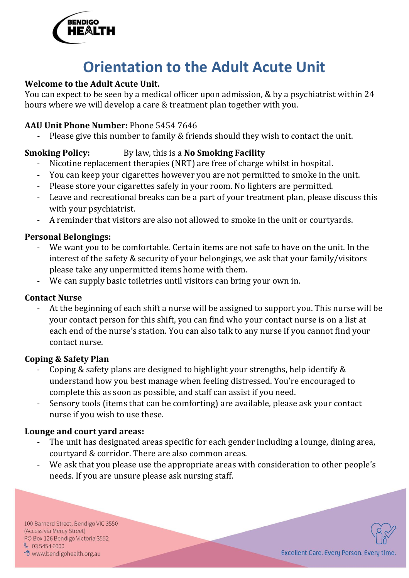

# **Orientation to the Adult Acute Unit**

#### **Welcome to the Adult Acute Unit.**

You can expect to be seen by a medical officer upon admission, & by a psychiatrist within 24 hours where we will develop a care & treatment plan together with you.

#### **AAU Unit Phone Number:** Phone 5454 7646

Please give this number to family & friends should they wish to contact the unit.

#### **Smoking Policy:** By law, this is a **No Smoking Facility**

- Nicotine replacement therapies (NRT) are free of charge whilst in hospital.
- You can keep your cigarettes however you are not permitted to smoke in the unit.
- Please store your cigarettes safely in your room. No lighters are permitted.
- Leave and recreational breaks can be a part of your treatment plan, please discuss this with your psychiatrist.
- A reminder that visitors are also not allowed to smoke in the unit or courtyards.

#### **Personal Belongings:**

- We want you to be comfortable. Certain items are not safe to have on the unit. In the interest of the safety & security of your belongings, we ask that your family/visitors please take any unpermitted items home with them.
- We can supply basic toiletries until visitors can bring your own in.

#### **Contact Nurse**

At the beginning of each shift a nurse will be assigned to support you. This nurse will be your contact person for this shift, you can find who your contact nurse is on a list at each end of the nurse's station. You can also talk to any nurse if you cannot find your contact nurse.

#### **Coping & Safety Plan**

- Coping & safety plans are designed to highlight your strengths, help identify & understand how you best manage when feeling distressed. You're encouraged to complete this as soon as possible, and staff can assist if you need.
- Sensory tools (items that can be comforting) are available, please ask your contact nurse if you wish to use these.

#### **Lounge and court yard areas:**

- The unit has designated areas specific for each gender including a lounge, dining area, courtyard & corridor. There are also common areas.
- We ask that you please use the appropriate areas with consideration to other people's needs. If you are unsure please ask nursing staff.

100 Barnard Street, Bendigo VIC 3550 (Access via Mercy Street) PO Box 126 Bendigo Victoria 3552  $$0354546000$ <sup></sub>O</sup> www.bendigohealth.org.au